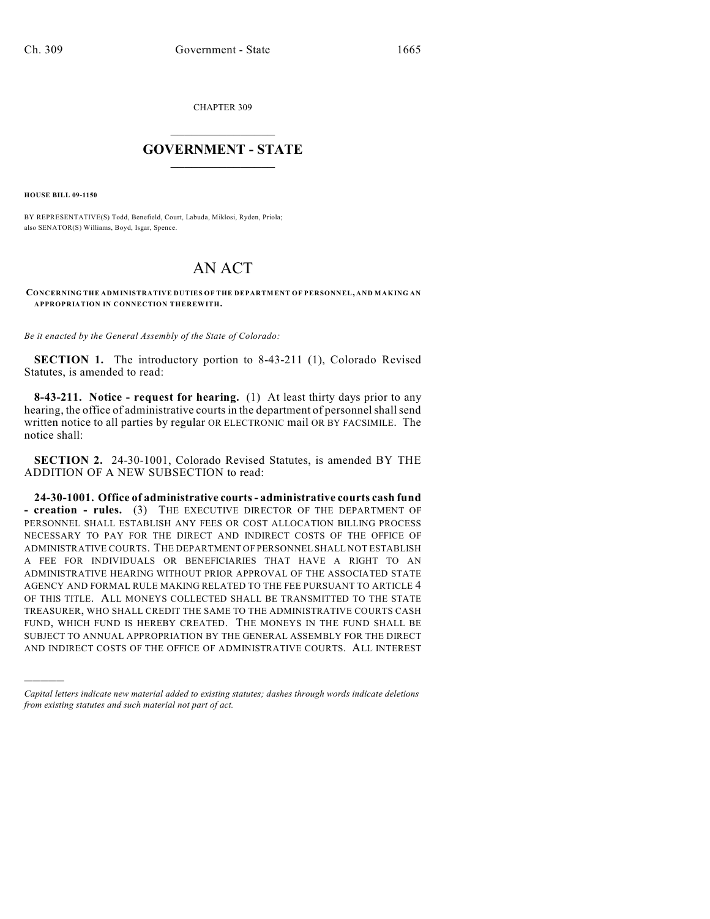CHAPTER 309

## $\overline{\phantom{a}}$  . The set of the set of the set of the set of the set of the set of the set of the set of the set of the set of the set of the set of the set of the set of the set of the set of the set of the set of the set o **GOVERNMENT - STATE**  $\_$

**HOUSE BILL 09-1150**

)))))

BY REPRESENTATIVE(S) Todd, Benefield, Court, Labuda, Miklosi, Ryden, Priola; also SENATOR(S) Williams, Boyd, Isgar, Spence.

# AN ACT

#### **CONCERNING THE ADMINISTRATIVE DUTIES OF THE DEPARTMENT OF PERSONNEL, AND MAKING AN APPROPRIATION IN CONNECTION THEREWITH.**

*Be it enacted by the General Assembly of the State of Colorado:*

**SECTION 1.** The introductory portion to 8-43-211 (1), Colorado Revised Statutes, is amended to read:

**8-43-211. Notice - request for hearing.** (1) At least thirty days prior to any hearing, the office of administrative courts in the department of personnel shall send written notice to all parties by regular OR ELECTRONIC mail OR BY FACSIMILE. The notice shall:

**SECTION 2.** 24-30-1001, Colorado Revised Statutes, is amended BY THE ADDITION OF A NEW SUBSECTION to read:

**24-30-1001. Office of administrative courts - administrative courts cash fund - creation - rules.** (3) THE EXECUTIVE DIRECTOR OF THE DEPARTMENT OF PERSONNEL SHALL ESTABLISH ANY FEES OR COST ALLOCATION BILLING PROCESS NECESSARY TO PAY FOR THE DIRECT AND INDIRECT COSTS OF THE OFFICE OF ADMINISTRATIVE COURTS. THE DEPARTMENT OF PERSONNEL SHALL NOT ESTABLISH A FEE FOR INDIVIDUALS OR BENEFICIARIES THAT HAVE A RIGHT TO AN ADMINISTRATIVE HEARING WITHOUT PRIOR APPROVAL OF THE ASSOCIATED STATE AGENCY AND FORMAL RULE MAKING RELATED TO THE FEE PURSUANT TO ARTICLE 4 OF THIS TITLE. ALL MONEYS COLLECTED SHALL BE TRANSMITTED TO THE STATE TREASURER, WHO SHALL CREDIT THE SAME TO THE ADMINISTRATIVE COURTS CASH FUND, WHICH FUND IS HEREBY CREATED. THE MONEYS IN THE FUND SHALL BE SUBJECT TO ANNUAL APPROPRIATION BY THE GENERAL ASSEMBLY FOR THE DIRECT AND INDIRECT COSTS OF THE OFFICE OF ADMINISTRATIVE COURTS. ALL INTEREST

*Capital letters indicate new material added to existing statutes; dashes through words indicate deletions from existing statutes and such material not part of act.*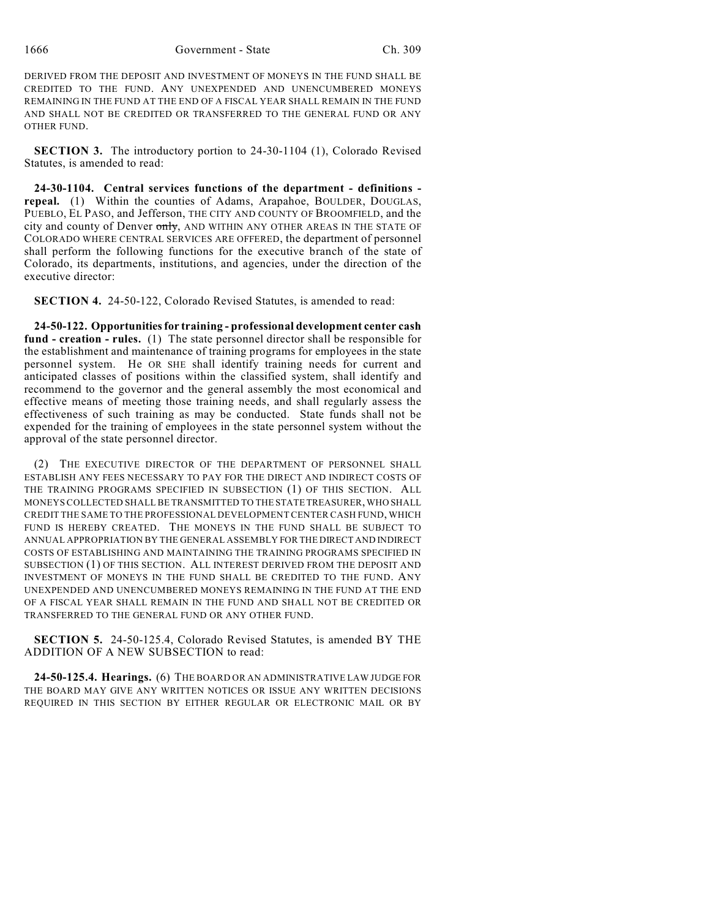1666 Government - State Ch. 309

DERIVED FROM THE DEPOSIT AND INVESTMENT OF MONEYS IN THE FUND SHALL BE CREDITED TO THE FUND. ANY UNEXPENDED AND UNENCUMBERED MONEYS REMAINING IN THE FUND AT THE END OF A FISCAL YEAR SHALL REMAIN IN THE FUND AND SHALL NOT BE CREDITED OR TRANSFERRED TO THE GENERAL FUND OR ANY OTHER FUND.

**SECTION 3.** The introductory portion to 24-30-1104 (1), Colorado Revised Statutes, is amended to read:

**24-30-1104. Central services functions of the department - definitions repeal.** (1) Within the counties of Adams, Arapahoe, BOULDER, DOUGLAS, PUEBLO, EL PASO, and Jefferson, THE CITY AND COUNTY OF BROOMFIELD, and the city and county of Denver only, AND WITHIN ANY OTHER AREAS IN THE STATE OF COLORADO WHERE CENTRAL SERVICES ARE OFFERED, the department of personnel shall perform the following functions for the executive branch of the state of Colorado, its departments, institutions, and agencies, under the direction of the executive director:

**SECTION 4.** 24-50-122, Colorado Revised Statutes, is amended to read:

**24-50-122. Opportunities for training - professional development center cash fund - creation - rules.** (1) The state personnel director shall be responsible for the establishment and maintenance of training programs for employees in the state personnel system. He OR SHE shall identify training needs for current and anticipated classes of positions within the classified system, shall identify and recommend to the governor and the general assembly the most economical and effective means of meeting those training needs, and shall regularly assess the effectiveness of such training as may be conducted. State funds shall not be expended for the training of employees in the state personnel system without the approval of the state personnel director.

(2) THE EXECUTIVE DIRECTOR OF THE DEPARTMENT OF PERSONNEL SHALL ESTABLISH ANY FEES NECESSARY TO PAY FOR THE DIRECT AND INDIRECT COSTS OF THE TRAINING PROGRAMS SPECIFIED IN SUBSECTION (1) OF THIS SECTION. ALL MONEYS COLLECTED SHALL BE TRANSMITTED TO THE STATE TREASURER, WHO SHALL CREDIT THE SAME TO THE PROFESSIONAL DEVELOPMENT CENTER CASH FUND, WHICH FUND IS HEREBY CREATED. THE MONEYS IN THE FUND SHALL BE SUBJECT TO ANNUAL APPROPRIATION BY THE GENERAL ASSEMBLY FOR THE DIRECT AND INDIRECT COSTS OF ESTABLISHING AND MAINTAINING THE TRAINING PROGRAMS SPECIFIED IN SUBSECTION (1) OF THIS SECTION. ALL INTEREST DERIVED FROM THE DEPOSIT AND INVESTMENT OF MONEYS IN THE FUND SHALL BE CREDITED TO THE FUND. ANY UNEXPENDED AND UNENCUMBERED MONEYS REMAINING IN THE FUND AT THE END OF A FISCAL YEAR SHALL REMAIN IN THE FUND AND SHALL NOT BE CREDITED OR TRANSFERRED TO THE GENERAL FUND OR ANY OTHER FUND.

**SECTION 5.** 24-50-125.4, Colorado Revised Statutes, is amended BY THE ADDITION OF A NEW SUBSECTION to read:

**24-50-125.4. Hearings.** (6) THE BOARD OR AN ADMINISTRATIVE LAW JUDGE FOR THE BOARD MAY GIVE ANY WRITTEN NOTICES OR ISSUE ANY WRITTEN DECISIONS REQUIRED IN THIS SECTION BY EITHER REGULAR OR ELECTRONIC MAIL OR BY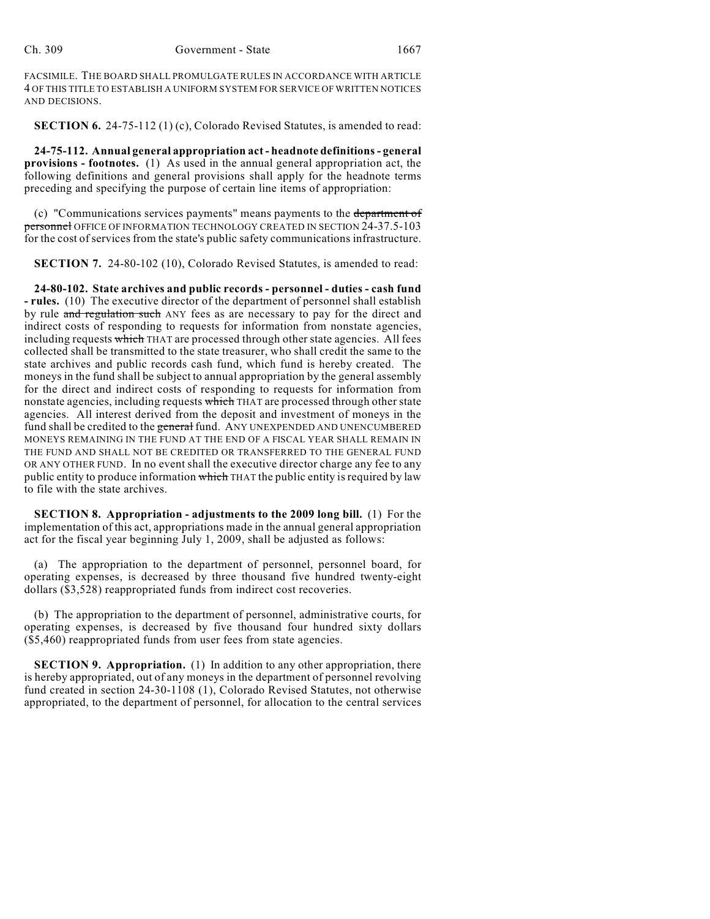FACSIMILE. THE BOARD SHALL PROMULGATE RULES IN ACCORDANCE WITH ARTICLE 4 OF THIS TITLE TO ESTABLISH A UNIFORM SYSTEM FOR SERVICE OF WRITTEN NOTICES AND DECISIONS.

**SECTION 6.** 24-75-112 (1) (c), Colorado Revised Statutes, is amended to read:

**24-75-112. Annual general appropriation act - headnote definitions - general provisions - footnotes.** (1) As used in the annual general appropriation act, the following definitions and general provisions shall apply for the headnote terms preceding and specifying the purpose of certain line items of appropriation:

(c) "Communications services payments" means payments to the department of personnel OFFICE OF INFORMATION TECHNOLOGY CREATED IN SECTION 24-37.5-103 for the cost of services from the state's public safety communications infrastructure.

**SECTION 7.** 24-80-102 (10), Colorado Revised Statutes, is amended to read:

**24-80-102. State archives and public records - personnel - duties - cash fund - rules.** (10) The executive director of the department of personnel shall establish by rule and regulation such ANY fees as are necessary to pay for the direct and indirect costs of responding to requests for information from nonstate agencies, including requests which THAT are processed through other state agencies. All fees collected shall be transmitted to the state treasurer, who shall credit the same to the state archives and public records cash fund, which fund is hereby created. The moneys in the fund shall be subject to annual appropriation by the general assembly for the direct and indirect costs of responding to requests for information from nonstate agencies, including requests which THAT are processed through other state agencies. All interest derived from the deposit and investment of moneys in the fund shall be credited to the general fund. ANY UNEXPENDED AND UNENCUMBERED MONEYS REMAINING IN THE FUND AT THE END OF A FISCAL YEAR SHALL REMAIN IN THE FUND AND SHALL NOT BE CREDITED OR TRANSFERRED TO THE GENERAL FUND OR ANY OTHER FUND. In no event shall the executive director charge any fee to any public entity to produce information which THAT the public entity is required by law to file with the state archives.

**SECTION 8. Appropriation - adjustments to the 2009 long bill.** (1) For the implementation of this act, appropriations made in the annual general appropriation act for the fiscal year beginning July 1, 2009, shall be adjusted as follows:

(a) The appropriation to the department of personnel, personnel board, for operating expenses, is decreased by three thousand five hundred twenty-eight dollars (\$3,528) reappropriated funds from indirect cost recoveries.

(b) The appropriation to the department of personnel, administrative courts, for operating expenses, is decreased by five thousand four hundred sixty dollars (\$5,460) reappropriated funds from user fees from state agencies.

**SECTION 9. Appropriation.** (1) In addition to any other appropriation, there is hereby appropriated, out of any moneys in the department of personnel revolving fund created in section 24-30-1108 (1), Colorado Revised Statutes, not otherwise appropriated, to the department of personnel, for allocation to the central services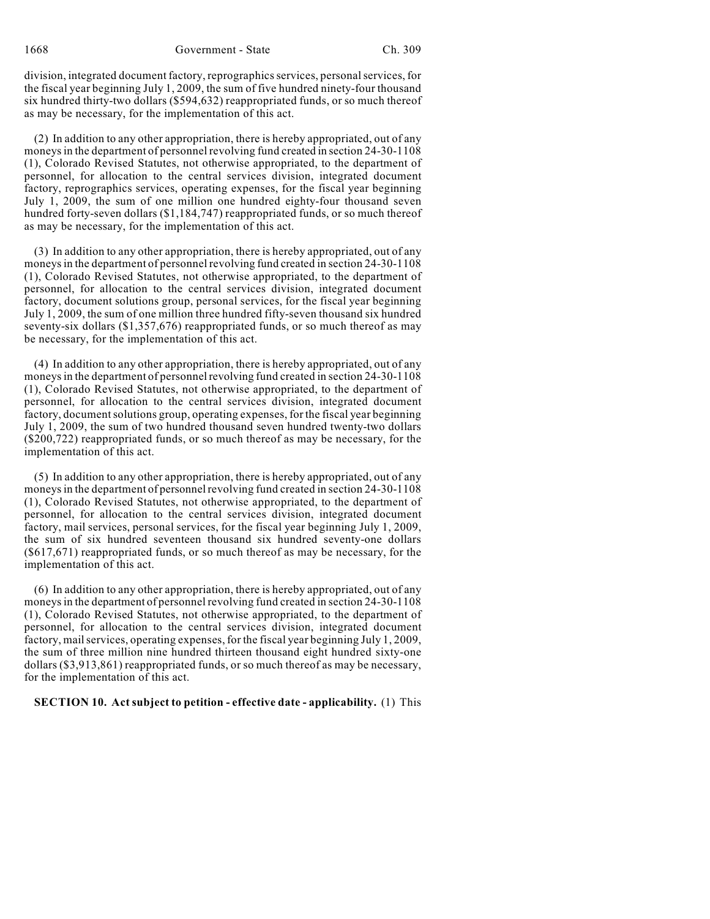division, integrated document factory, reprographics services, personal services, for the fiscal year beginning July 1, 2009, the sum of five hundred ninety-four thousand six hundred thirty-two dollars (\$594,632) reappropriated funds, or so much thereof as may be necessary, for the implementation of this act.

(2) In addition to any other appropriation, there is hereby appropriated, out of any moneys in the department of personnel revolving fund created in section 24-30-1108 (1), Colorado Revised Statutes, not otherwise appropriated, to the department of personnel, for allocation to the central services division, integrated document factory, reprographics services, operating expenses, for the fiscal year beginning July 1, 2009, the sum of one million one hundred eighty-four thousand seven hundred forty-seven dollars (\$1,184,747) reappropriated funds, or so much thereof as may be necessary, for the implementation of this act.

(3) In addition to any other appropriation, there is hereby appropriated, out of any moneys in the department of personnel revolving fund created in section 24-30-1108 (1), Colorado Revised Statutes, not otherwise appropriated, to the department of personnel, for allocation to the central services division, integrated document factory, document solutions group, personal services, for the fiscal year beginning July 1, 2009, the sum of one million three hundred fifty-seven thousand six hundred seventy-six dollars (\$1,357,676) reappropriated funds, or so much thereof as may be necessary, for the implementation of this act.

(4) In addition to any other appropriation, there is hereby appropriated, out of any moneys in the department of personnel revolving fund created in section 24-30-1108 (1), Colorado Revised Statutes, not otherwise appropriated, to the department of personnel, for allocation to the central services division, integrated document factory, document solutions group, operating expenses, for the fiscal year beginning July 1, 2009, the sum of two hundred thousand seven hundred twenty-two dollars (\$200,722) reappropriated funds, or so much thereof as may be necessary, for the implementation of this act.

(5) In addition to any other appropriation, there is hereby appropriated, out of any moneys in the department of personnel revolving fund created in section 24-30-1108 (1), Colorado Revised Statutes, not otherwise appropriated, to the department of personnel, for allocation to the central services division, integrated document factory, mail services, personal services, for the fiscal year beginning July 1, 2009, the sum of six hundred seventeen thousand six hundred seventy-one dollars (\$617,671) reappropriated funds, or so much thereof as may be necessary, for the implementation of this act.

(6) In addition to any other appropriation, there is hereby appropriated, out of any moneys in the department of personnel revolving fund created in section 24-30-1108 (1), Colorado Revised Statutes, not otherwise appropriated, to the department of personnel, for allocation to the central services division, integrated document factory, mail services, operating expenses, for the fiscal year beginning July 1, 2009, the sum of three million nine hundred thirteen thousand eight hundred sixty-one dollars (\$3,913,861) reappropriated funds, or so much thereof as may be necessary, for the implementation of this act.

### **SECTION 10. Act subject to petition - effective date - applicability.** (1) This